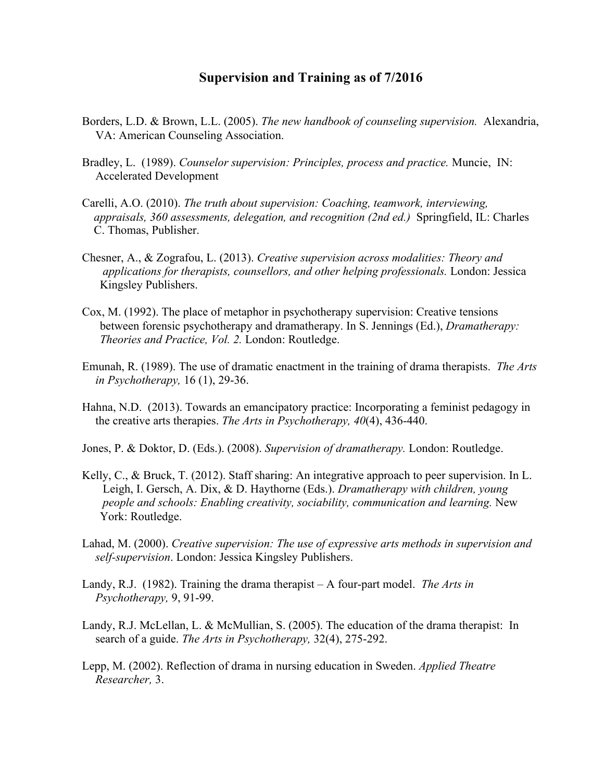## **Supervision and Training as of 7/2016**

- Borders, L.D. & Brown, L.L. (2005). *The new handbook of counseling supervision.* Alexandria, VA: American Counseling Association.
- Bradley, L. (1989). *Counselor supervision: Principles, process and practice.* Muncie, IN: Accelerated Development
- Carelli, A.O. (2010). *The truth about supervision: Coaching, teamwork, interviewing, appraisals, 360 assessments, delegation, and recognition (2nd ed.)* Springfield, IL: Charles C. Thomas, Publisher.
- Chesner, A., & Zografou, L. (2013). *Creative supervision across modalities: Theory and applications for therapists, counsellors, and other helping professionals.* London: Jessica Kingsley Publishers.
- Cox, M. (1992). The place of metaphor in psychotherapy supervision: Creative tensions between forensic psychotherapy and dramatherapy. In S. Jennings (Ed.), *Dramatherapy: Theories and Practice, Vol. 2.* London: Routledge.
- Emunah, R. (1989). The use of dramatic enactment in the training of drama therapists. *The Arts in Psychotherapy,* 16 (1), 29-36.
- Hahna, N.D. (2013). Towards an emancipatory practice: Incorporating a feminist pedagogy in the creative arts therapies. *The Arts in Psychotherapy, 40*(4), 436-440.
- Jones, P. & Doktor, D. (Eds.). (2008). *Supervision of dramatherapy.* London: Routledge.
- Kelly, C., & Bruck, T. (2012). Staff sharing: An integrative approach to peer supervision. In L. Leigh, I. Gersch, A. Dix, & D. Haythorne (Eds.). *Dramatherapy with children, young people and schools: Enabling creativity, sociability, communication and learning.* New York: Routledge.
- Lahad, M. (2000). *Creative supervision: The use of expressive arts methods in supervision and self-supervision*. London: Jessica Kingsley Publishers.
- Landy, R.J. (1982). Training the drama therapist A four-part model. *The Arts in Psychotherapy,* 9, 91-99.
- Landy, R.J. McLellan, L. & McMullian, S. (2005). The education of the drama therapist: In search of a guide. *The Arts in Psychotherapy,* 32(4), 275-292.
- Lepp, M. (2002). Reflection of drama in nursing education in Sweden. *Applied Theatre Researcher,* 3.